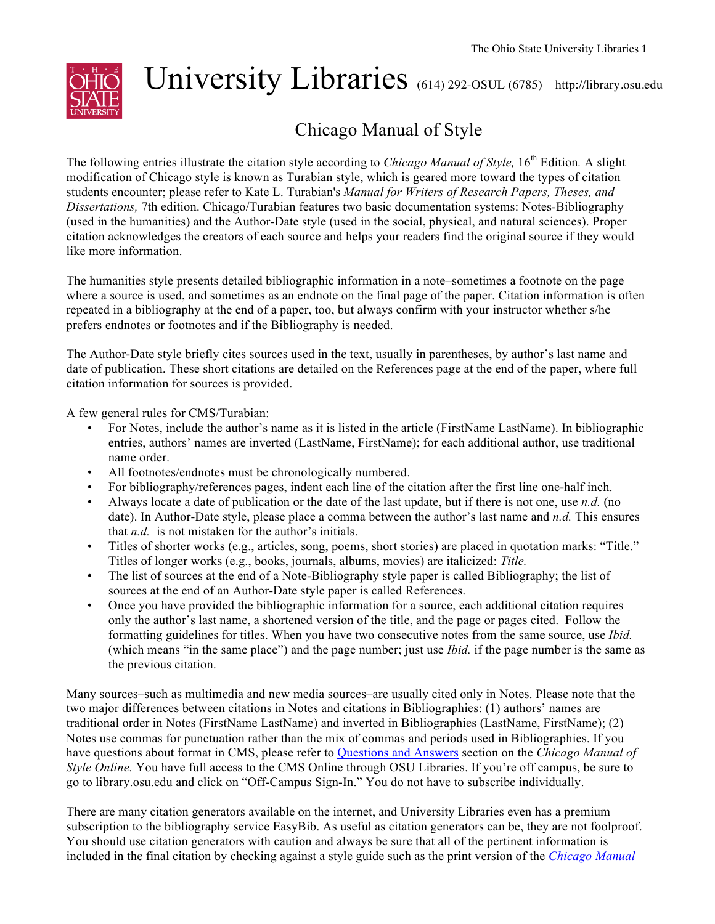

# University Libraries (614) 292-OSUL (6785) http://library.osu.edu

# Chicago Manual of Style

The following entries illustrate the citation style according to *Chicago Manual of Style*, 16<sup>th</sup> Edition. A slight modification of Chicago style is known as Turabian style, which is geared more toward the types of citation students encounter; please refer to Kate L. Turabian's *Manual for Writers of Research Papers, Theses, and Dissertations,* 7th edition. Chicago/Turabian features two basic documentation systems: Notes-Bibliography (used in the humanities) and the Author-Date style (used in the social, physical, and natural sciences). Proper citation acknowledges the creators of each source and helps your readers find the original source if they would like more information.

The humanities style presents detailed bibliographic information in a note–sometimes a footnote on the page where a source is used, and sometimes as an endnote on the final page of the paper. Citation information is often repeated in a bibliography at the end of a paper, too, but always confirm with your instructor whether s/he prefers endnotes or footnotes and if the Bibliography is needed.

The Author-Date style briefly cites sources used in the text, usually in parentheses, by author's last name and date of publication. These short citations are detailed on the References page at the end of the paper, where full citation information for sources is provided.

A few general rules for CMS/Turabian:

- For Notes, include the author's name as it is listed in the article (FirstName LastName). In bibliographic entries, authors' names are inverted (LastName, FirstName); for each additional author, use traditional name order.
- All footnotes/endnotes must be chronologically numbered.
- For bibliography/references pages, indent each line of the citation after the first line one-half inch.
- Always locate a date of publication or the date of the last update, but if there is not one, use *n.d.* (no date). In Author-Date style, please place a comma between the author's last name and *n.d.* This ensures that *n.d.* is not mistaken for the author's initials.
- Titles of shorter works (e.g., articles, song, poems, short stories) are placed in quotation marks: "Title." Titles of longer works (e.g., books, journals, albums, movies) are italicized: *Title.*
- The list of sources at the end of a Note-Bibliography style paper is called Bibliography; the list of sources at the end of an Author-Date style paper is called References.
- Once you have provided the bibliographic information for a source, each additional citation requires only the author's last name, a shortened version of the title, and the page or pages cited. Follow the formatting guidelines for titles. When you have two consecutive notes from the same source, use *Ibid.*  (which means "in the same place") and the page number; just use *Ibid.* if the page number is the same as the previous citation.

Many sources–such as multimedia and new media sources–are usually cited only in Notes. Please note that the two major differences between citations in Notes and citations in Bibliographies: (1) authors' names are traditional order in Notes (FirstName LastName) and inverted in Bibliographies (LastName, FirstName); (2) Notes use commas for punctuation rather than the mix of commas and periods used in Bibliographies. If you have questions about format in CMS, please refer to Questions and Answers section on the *Chicago Manual of Style Online.* You have full access to the CMS Online through OSU Libraries. If you're off campus, be sure to go to library.osu.edu and click on "Off-Campus Sign-In." You do not have to subscribe individually.

There are many citation generators available on the internet, and University Libraries even has a premium subscription to the bibliography service EasyBib. As useful as citation generators can be, they are not foolproof. You should use citation generators with caution and always be sure that all of the pertinent information is included in the final citation by checking against a style guide such as the print version of the *Chicago Manual*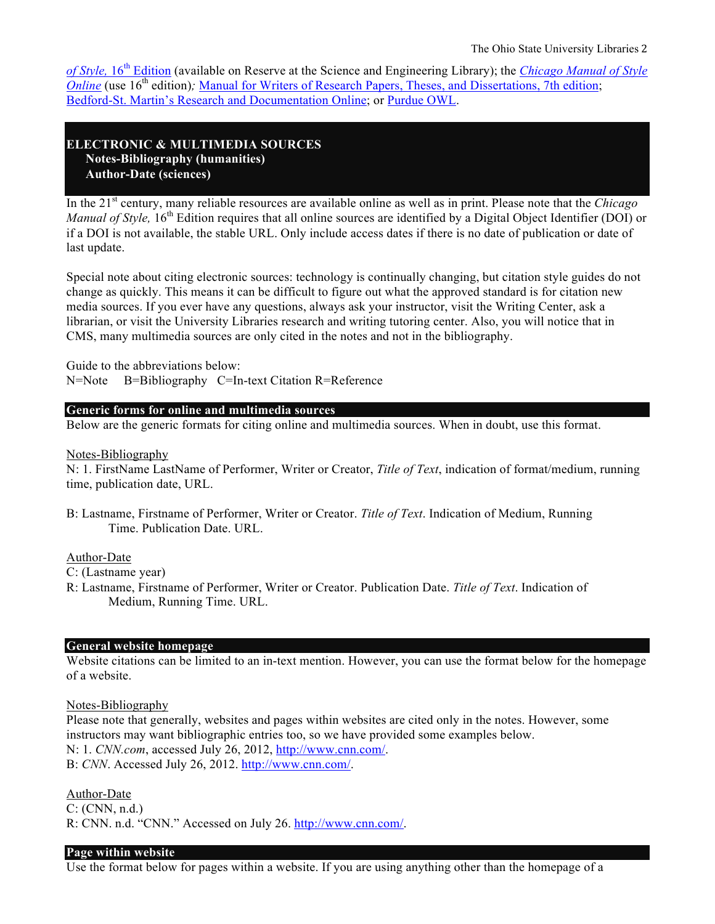*of Style,* 16<sup>th</sup> Edition (available on Reserve at the Science and Engineering Library); the *Chicago Manual of Style Online* (use 16<sup>th</sup> edition); Manual for Writers of Research Papers, Theses, and Dissertations, 7th edition; Bedford-St. Martin's Research and Documentation Online; or Purdue OWL.

# **ELECTRONIC & MULTIMEDIA SOURCES Notes-Bibliography (humanities) Author-Date (sciences)**

In the 21st century, many reliable resources are available online as well as in print. Please note that the *Chicago Manual of Style*, 16<sup>th</sup> Edition requires that all online sources are identified by a Digital Object Identifier (DOI) or if a DOI is not available, the stable URL. Only include access dates if there is no date of publication or date of last update.

Special note about citing electronic sources: technology is continually changing, but citation style guides do not change as quickly. This means it can be difficult to figure out what the approved standard is for citation new media sources. If you ever have any questions, always ask your instructor, visit the Writing Center, ask a librarian, or visit the University Libraries research and writing tutoring center. Also, you will notice that in CMS, many multimedia sources are only cited in the notes and not in the bibliography.

Guide to the abbreviations below: N=Note B=Bibliography C=In-text Citation R=Reference

#### **Generic forms for online and multimedia sources**

Below are the generic formats for citing online and multimedia sources. When in doubt, use this format.

#### Notes-Bibliography

N: 1. FirstName LastName of Performer, Writer or Creator, *Title of Text*, indication of format/medium, running time, publication date, URL.

B: Lastname, Firstname of Performer, Writer or Creator. *Title of Text*. Indication of Medium, Running Time. Publication Date. URL.

# Author-Date

C: (Lastname year)

R: Lastname, Firstname of Performer, Writer or Creator. Publication Date. *Title of Text*. Indication of Medium, Running Time. URL.

#### **General website homepage**

Website citations can be limited to an in-text mention. However, you can use the format below for the homepage of a website.

Notes-Bibliography

Please note that generally, websites and pages within websites are cited only in the notes. However, some instructors may want bibliographic entries too, so we have provided some examples below. N: 1. *CNN.com*, accessed July 26, 2012, http://www.cnn.com/.

B: *CNN*. Accessed July 26, 2012. http://www.cnn.com/.

#### Author-Date

C: (CNN, n.d.) R: CNN. n.d. "CNN." Accessed on July 26. http://www.cnn.com/.

#### **Page within website**

Use the format below for pages within a website. If you are using anything other than the homepage of a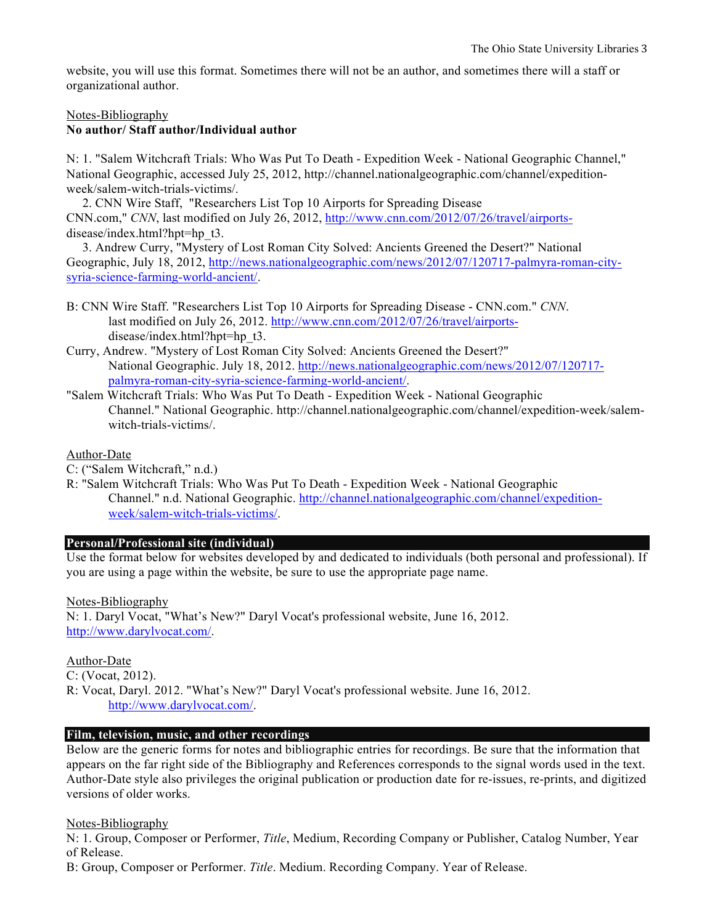website, you will use this format. Sometimes there will not be an author, and sometimes there will a staff or organizational author.

#### Notes-Bibliography

#### **No author/ Staff author/Individual author**

N: 1. "Salem Witchcraft Trials: Who Was Put To Death - Expedition Week - National Geographic Channel," National Geographic, accessed July 25, 2012, http://channel.nationalgeographic.com/channel/expeditionweek/salem-witch-trials-victims/.

 2. CNN Wire Staff, "Researchers List Top 10 Airports for Spreading Disease CNN.com," *CNN*, last modified on July 26, 2012, http://www.cnn.com/2012/07/26/travel/airportsdisease/index.html?hpt=hp\_t3.

 3. Andrew Curry, "Mystery of Lost Roman City Solved: Ancients Greened the Desert?" National Geographic, July 18, 2012, http://news.nationalgeographic.com/news/2012/07/120717-palmyra-roman-citysyria-science-farming-world-ancient/.

- B: CNN Wire Staff. "Researchers List Top 10 Airports for Spreading Disease CNN.com." *CNN*. last modified on July 26, 2012. http://www.cnn.com/2012/07/26/travel/airportsdisease/index.html?hpt=hp\_t3.
- Curry, Andrew. "Mystery of Lost Roman City Solved: Ancients Greened the Desert?" National Geographic. July 18, 2012. http://news.nationalgeographic.com/news/2012/07/120717 palmyra-roman-city-syria-science-farming-world-ancient/.
- "Salem Witchcraft Trials: Who Was Put To Death Expedition Week National Geographic Channel." National Geographic. http://channel.nationalgeographic.com/channel/expedition-week/salemwitch-trials-victims/.

#### Author-Date

C: ("Salem Witchcraft," n.d.)

R: "Salem Witchcraft Trials: Who Was Put To Death - Expedition Week - National Geographic Channel." n.d. National Geographic. http://channel.nationalgeographic.com/channel/expeditionweek/salem-witch-trials-victims/.

# **Personal/Professional site (individual)**

Use the format below for websites developed by and dedicated to individuals (both personal and professional). If you are using a page within the website, be sure to use the appropriate page name.

Notes-Bibliography

N: 1. Daryl Vocat, "What's New?" Daryl Vocat's professional website, June 16, 2012. http://www.darylvocat.com/.

#### Author-Date

C: (Vocat, 2012).

R: Vocat, Daryl. 2012. "What's New?" Daryl Vocat's professional website. June 16, 2012. http://www.darylvocat.com/.

#### **Film, television, music, and other recordings**

Below are the generic forms for notes and bibliographic entries for recordings. Be sure that the information that appears on the far right side of the Bibliography and References corresponds to the signal words used in the text. Author-Date style also privileges the original publication or production date for re-issues, re-prints, and digitized versions of older works.

#### Notes-Bibliography

N: 1. Group, Composer or Performer, *Title*, Medium, Recording Company or Publisher, Catalog Number, Year of Release.

B: Group, Composer or Performer. *Title*. Medium. Recording Company. Year of Release.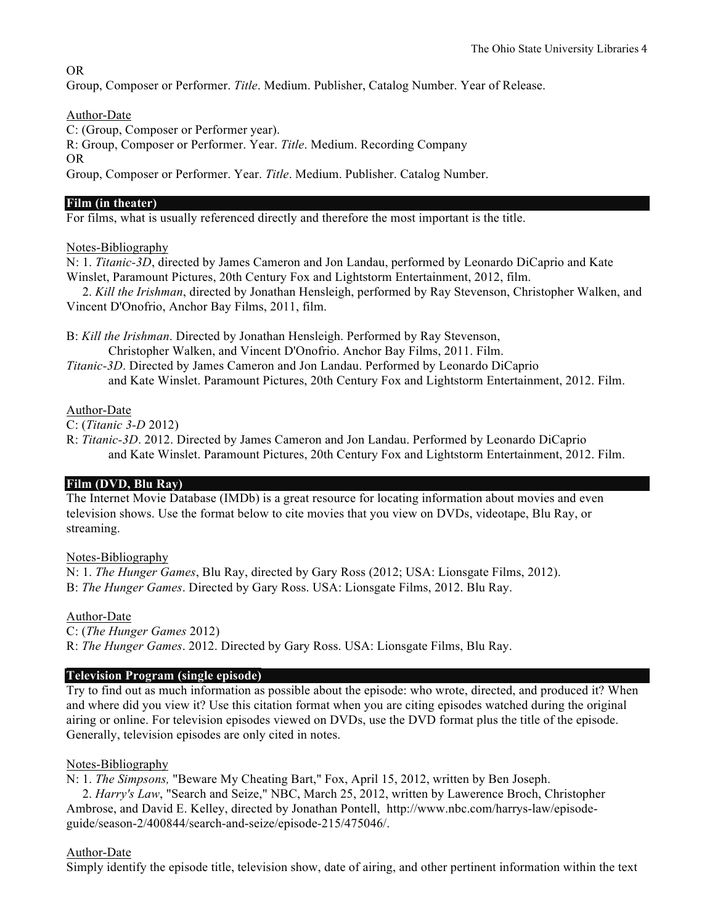# OR

Group, Composer or Performer. *Title*. Medium. Publisher, Catalog Number. Year of Release.

# Author-Date

C: (Group, Composer or Performer year).

R: Group, Composer or Performer. Year. *Title*. Medium. Recording Company

OR

Group, Composer or Performer. Year. *Title*. Medium. Publisher. Catalog Number.

#### **Film (in theater)**

For films, what is usually referenced directly and therefore the most important is the title.

# Notes-Bibliography

N: 1. *Titanic-3D*, directed by James Cameron and Jon Landau, performed by Leonardo DiCaprio and Kate Winslet, Paramount Pictures, 20th Century Fox and Lightstorm Entertainment, 2012, film.

 2. *Kill the Irishman*, directed by Jonathan Hensleigh, performed by Ray Stevenson, Christopher Walken, and Vincent D'Onofrio, Anchor Bay Films, 2011, film.

B: *Kill the Irishman*. Directed by Jonathan Hensleigh. Performed by Ray Stevenson, Christopher Walken, and Vincent D'Onofrio. Anchor Bay Films, 2011. Film.

*Titanic-3D*. Directed by James Cameron and Jon Landau. Performed by Leonardo DiCaprio and Kate Winslet. Paramount Pictures, 20th Century Fox and Lightstorm Entertainment, 2012. Film.

# Author-Date

C: (*Titanic 3-D* 2012)

R: *Titanic-3D*. 2012. Directed by James Cameron and Jon Landau. Performed by Leonardo DiCaprio and Kate Winslet. Paramount Pictures, 20th Century Fox and Lightstorm Entertainment, 2012. Film.

# **Film (DVD, Blu Ray)**

The Internet Movie Database (IMDb) is a great resource for locating information about movies and even television shows. Use the format below to cite movies that you view on DVDs, videotape, Blu Ray, or streaming.

#### Notes-Bibliography

N: 1. *The Hunger Games*, Blu Ray, directed by Gary Ross (2012; USA: Lionsgate Films, 2012). B: *The Hunger Games*. Directed by Gary Ross. USA: Lionsgate Films, 2012. Blu Ray.

#### Author-Date

C: (*The Hunger Games* 2012) R: *The Hunger Games*. 2012. Directed by Gary Ross. USA: Lionsgate Films, Blu Ray.

# **Television Program (single episode)**

Try to find out as much information as possible about the episode: who wrote, directed, and produced it? When and where did you view it? Use this citation format when you are citing episodes watched during the original airing or online. For television episodes viewed on DVDs, use the DVD format plus the title of the episode. Generally, television episodes are only cited in notes.

#### Notes-Bibliography

N: 1. *The Simpsons,* "Beware My Cheating Bart," Fox, April 15, 2012, written by Ben Joseph.

 2. *Harry's Law*, "Search and Seize," NBC, March 25, 2012, written by Lawerence Broch, Christopher Ambrose, and David E. Kelley, directed by Jonathan Pontell, http://www.nbc.com/harrys-law/episodeguide/season-2/400844/search-and-seize/episode-215/475046/.

#### Author-Date

Simply identify the episode title, television show, date of airing, and other pertinent information within the text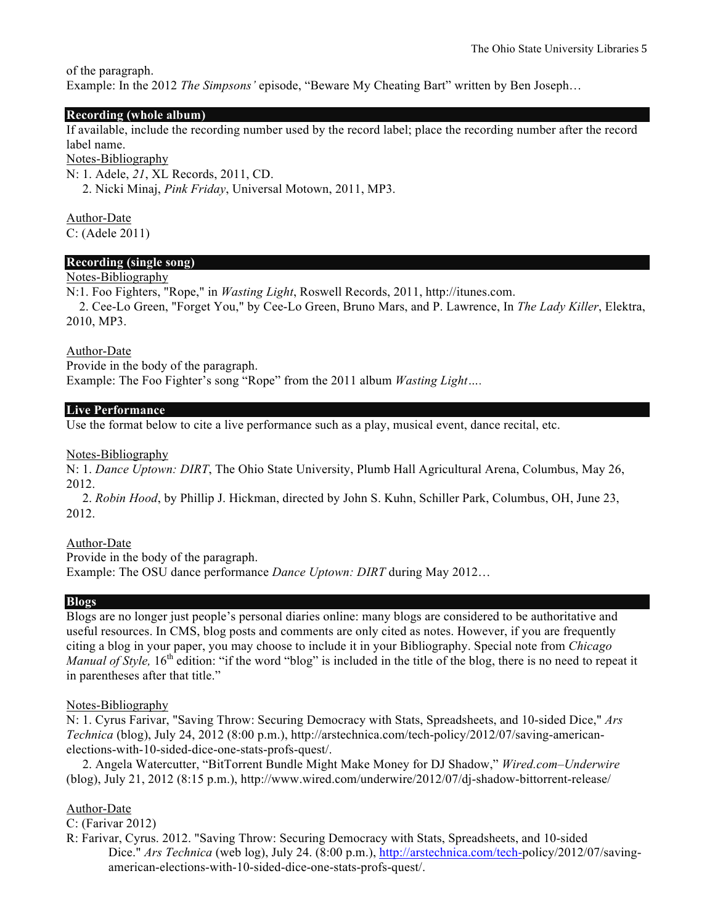of the paragraph.

Example: In the 2012 *The Simpsons'* episode, "Beware My Cheating Bart" written by Ben Joseph…

# **Recording (whole album)**

If available, include the recording number used by the record label; place the recording number after the record label name.

#### Notes-Bibliography

N: 1. Adele, *21*, XL Records, 2011, CD.

2. Nicki Minaj, *Pink Friday*, Universal Motown, 2011, MP3.

Author-Date C: (Adele 2011)

# **Recording (single song)**

# Notes-Bibliography

N:1. Foo Fighters, "Rope," in *Wasting Light*, Roswell Records, 2011, http://itunes.com.

 2. Cee-Lo Green, "Forget You," by Cee-Lo Green, Bruno Mars, and P. Lawrence, In *The Lady Killer*, Elektra, 2010, MP3.

#### Author-Date

Provide in the body of the paragraph. Example: The Foo Fighter's song "Rope" from the 2011 album *Wasting Light….*

#### **Live Performance**

Use the format below to cite a live performance such as a play, musical event, dance recital, etc.

Notes-Bibliography

N: 1. *Dance Uptown: DIRT*, The Ohio State University, Plumb Hall Agricultural Arena, Columbus, May 26, 2012.

 2. *Robin Hood*, by Phillip J. Hickman, directed by John S. Kuhn, Schiller Park, Columbus, OH, June 23, 2012.

# Author-Date

Provide in the body of the paragraph. Example: The OSU dance performance *Dance Uptown: DIRT* during May 2012…

#### **Blogs**

Blogs are no longer just people's personal diaries online: many blogs are considered to be authoritative and useful resources. In CMS, blog posts and comments are only cited as notes. However, if you are frequently citing a blog in your paper, you may choose to include it in your Bibliography. Special note from *Chicago Manual of Style,* 16<sup>th</sup> edition: "if the word "blog" is included in the title of the blog, there is no need to repeat it in parentheses after that title."

#### Notes-Bibliography

N: 1. Cyrus Farivar, "Saving Throw: Securing Democracy with Stats, Spreadsheets, and 10-sided Dice," *Ars Technica* (blog), July 24, 2012 (8:00 p.m.), http://arstechnica.com/tech-policy/2012/07/saving-americanelections-with-10-sided-dice-one-stats-profs-quest/.

 2. Angela Watercutter, "BitTorrent Bundle Might Make Money for DJ Shadow," *Wired.com–Underwire* (blog), July 21, 2012 (8:15 p.m.), http://www.wired.com/underwire/2012/07/dj-shadow-bittorrent-release/

#### Author-Date

C: (Farivar 2012)

R: Farivar, Cyrus. 2012. "Saving Throw: Securing Democracy with Stats, Spreadsheets, and 10-sided Dice." *Ars Technica* (web log), July 24. (8:00 p.m.), http://arstechnica.com/tech-policy/2012/07/savingamerican-elections-with-10-sided-dice-one-stats-profs-quest/.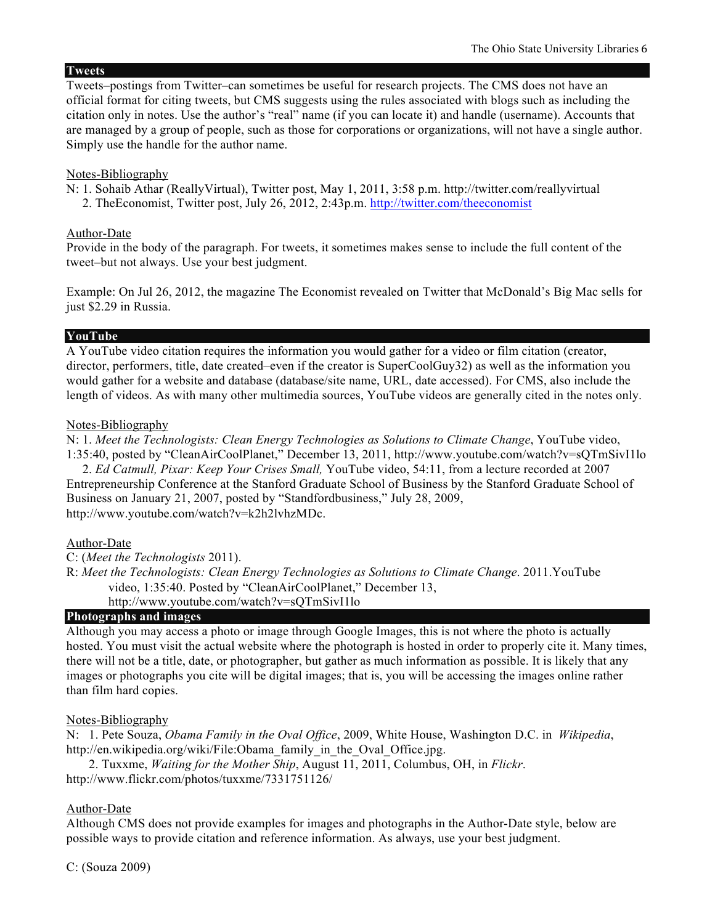#### **Tweets**

Tweets–postings from Twitter–can sometimes be useful for research projects. The CMS does not have an official format for citing tweets, but CMS suggests using the rules associated with blogs such as including the citation only in notes. Use the author's "real" name (if you can locate it) and handle (username). Accounts that are managed by a group of people, such as those for corporations or organizations, will not have a single author. Simply use the handle for the author name.

#### Notes-Bibliography

- N: 1. Sohaib Athar (ReallyVirtual), Twitter post, May 1, 2011, 3:58 p.m. http://twitter.com/reallyvirtual
	- 2. TheEconomist, Twitter post, July 26, 2012, 2:43p.m. http://twitter.com/theeconomist

#### Author-Date

Provide in the body of the paragraph. For tweets, it sometimes makes sense to include the full content of the tweet–but not always. Use your best judgment.

Example: On Jul 26, 2012, the magazine The Economist revealed on Twitter that McDonald's Big Mac sells for just \$2.29 in Russia.

#### **YouTube**

A YouTube video citation requires the information you would gather for a video or film citation (creator, director, performers, title, date created–even if the creator is SuperCoolGuy32) as well as the information you would gather for a website and database (database/site name, URL, date accessed). For CMS, also include the length of videos. As with many other multimedia sources, YouTube videos are generally cited in the notes only.

#### Notes-Bibliography

N: 1. *Meet the Technologists: Clean Energy Technologies as Solutions to Climate Change*, YouTube video, 1:35:40, posted by "CleanAirCoolPlanet," December 13, 2011, http://www.youtube.com/watch?v=sQTmSivI1lo

 2. *Ed Catmull, Pixar: Keep Your Crises Small,* YouTube video, 54:11, from a lecture recorded at 2007 Entrepreneurship Conference at the Stanford Graduate School of Business by the Stanford Graduate School of Business on January 21, 2007, posted by "Standfordbusiness," July 28, 2009, http://www.youtube.com/watch?v=k2h2lvhzMDc.

#### Author-Date

- C: (*Meet the Technologists* 2011).
- R: *Meet the Technologists: Clean Energy Technologies as Solutions to Climate Change*. 2011.YouTube video, 1:35:40. Posted by "CleanAirCoolPlanet," December 13, http://www.youtube.com/watch?v=sQTmSivI1lo

# **Photographs and images**

Although you may access a photo or image through Google Images, this is not where the photo is actually hosted. You must visit the actual website where the photograph is hosted in order to properly cite it. Many times, there will not be a title, date, or photographer, but gather as much information as possible. It is likely that any images or photographs you cite will be digital images; that is, you will be accessing the images online rather than film hard copies.

#### Notes-Bibliography

N: 1. Pete Souza, *Obama Family in the Oval Office*, 2009, White House, Washington D.C. in *Wikipedia*, http://en.wikipedia.org/wiki/File:Obama\_family\_in\_the\_Oval\_Office.jpg.

 2. Tuxxme, *Waiting for the Mother Ship*, August 11, 2011, Columbus, OH, in *Flickr*. http://www.flickr.com/photos/tuxxme/7331751126/

# Author-Date

Although CMS does not provide examples for images and photographs in the Author-Date style, below are possible ways to provide citation and reference information. As always, use your best judgment.

C: (Souza 2009)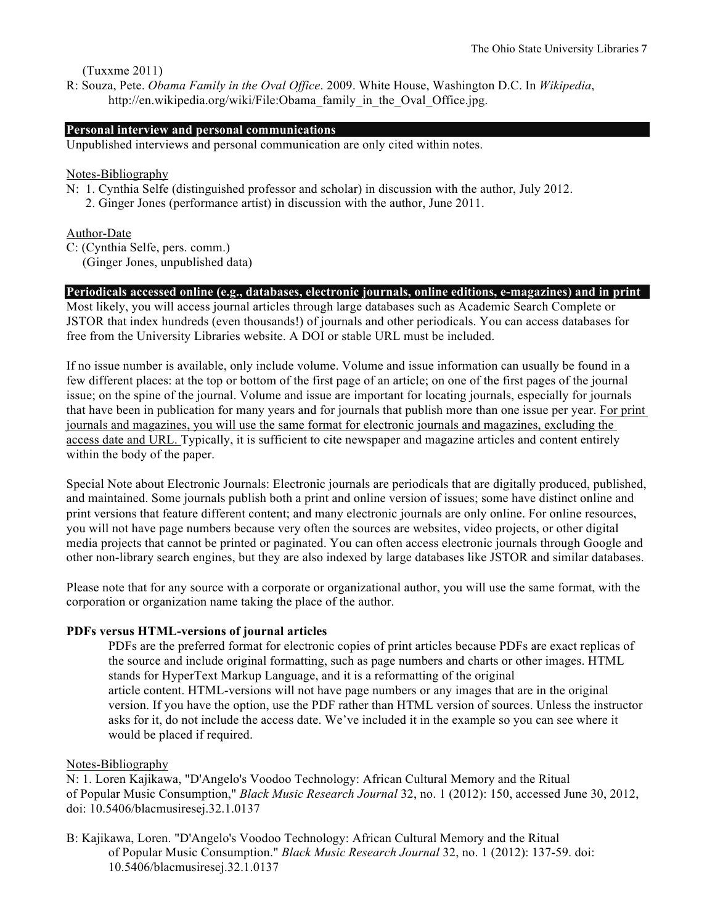(Tuxxme 2011)

R: Souza, Pete. *Obama Family in the Oval Office*. 2009. White House, Washington D.C. In *Wikipedia*, http://en.wikipedia.org/wiki/File:Obama\_family\_in\_the\_Oval\_Office.jpg.

# **Personal interview and personal communications**

Unpublished interviews and personal communication are only cited within notes.

#### Notes-Bibliography

- N: 1. Cynthia Selfe (distinguished professor and scholar) in discussion with the author, July 2012.
	- 2. Ginger Jones (performance artist) in discussion with the author, June 2011.

# Author-Date

- C: (Cynthia Selfe, pers. comm.)
	- (Ginger Jones, unpublished data)

#### **Periodicals accessed online (e.g., databases, electronic journals, online editions, e-magazines) and in print**

Most likely, you will access journal articles through large databases such as Academic Search Complete or JSTOR that index hundreds (even thousands!) of journals and other periodicals. You can access databases for free from the University Libraries website. A DOI or stable URL must be included.

If no issue number is available, only include volume. Volume and issue information can usually be found in a few different places: at the top or bottom of the first page of an article; on one of the first pages of the journal issue; on the spine of the journal. Volume and issue are important for locating journals, especially for journals that have been in publication for many years and for journals that publish more than one issue per year. For print journals and magazines, you will use the same format for electronic journals and magazines, excluding the access date and URL. Typically, it is sufficient to cite newspaper and magazine articles and content entirely within the body of the paper.

Special Note about Electronic Journals: Electronic journals are periodicals that are digitally produced, published, and maintained. Some journals publish both a print and online version of issues; some have distinct online and print versions that feature different content; and many electronic journals are only online. For online resources, you will not have page numbers because very often the sources are websites, video projects, or other digital media projects that cannot be printed or paginated. You can often access electronic journals through Google and other non-library search engines, but they are also indexed by large databases like JSTOR and similar databases.

Please note that for any source with a corporate or organizational author, you will use the same format, with the corporation or organization name taking the place of the author.

#### **PDFs versus HTML-versions of journal articles**

PDFs are the preferred format for electronic copies of print articles because PDFs are exact replicas of the source and include original formatting, such as page numbers and charts or other images. HTML stands for HyperText Markup Language, and it is a reformatting of the original article content. HTML-versions will not have page numbers or any images that are in the original version. If you have the option, use the PDF rather than HTML version of sources. Unless the instructor asks for it, do not include the access date. We've included it in the example so you can see where it would be placed if required.

#### Notes-Bibliography

N: 1. Loren Kajikawa, "D'Angelo's Voodoo Technology: African Cultural Memory and the Ritual of Popular Music Consumption," *Black Music Research Journal* 32, no. 1 (2012): 150, accessed June 30, 2012, doi: 10.5406/blacmusiresej.32.1.0137

B: Kajikawa, Loren. "D'Angelo's Voodoo Technology: African Cultural Memory and the Ritual of Popular Music Consumption." *Black Music Research Journal* 32, no. 1 (2012): 137-59. doi: 10.5406/blacmusiresej.32.1.0137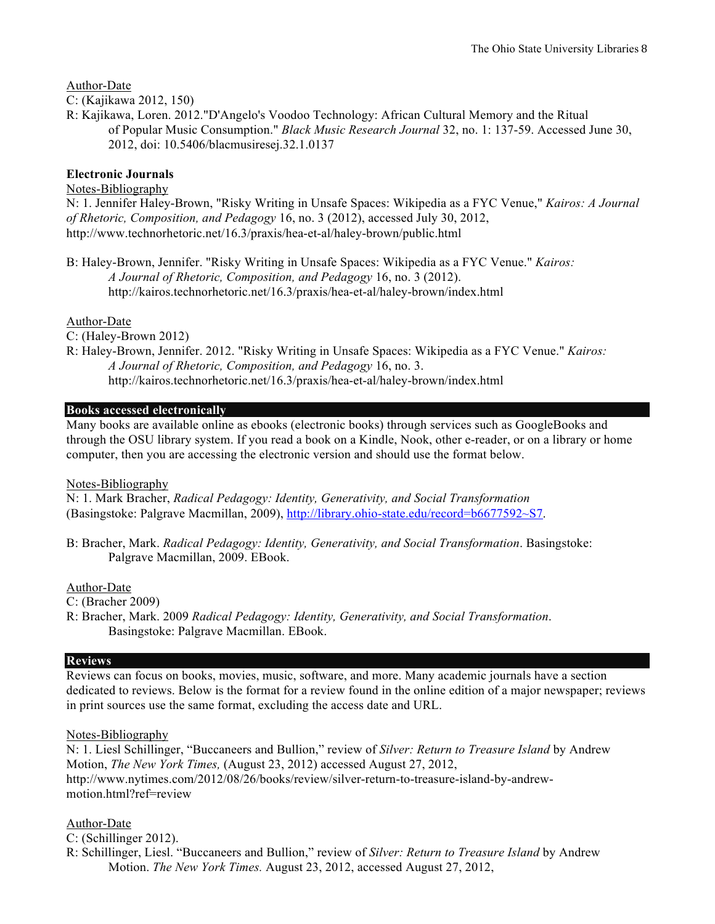Author-Date

C: (Kajikawa 2012, 150)

R: Kajikawa, Loren. 2012."D'Angelo's Voodoo Technology: African Cultural Memory and the Ritual of Popular Music Consumption." *Black Music Research Journal* 32, no. 1: 137-59. Accessed June 30, 2012, doi: 10.5406/blacmusiresej.32.1.0137

# **Electronic Journals**

# Notes-Bibliography

N: 1. Jennifer Haley-Brown, "Risky Writing in Unsafe Spaces: Wikipedia as a FYC Venue," *Kairos: A Journal of Rhetoric, Composition, and Pedagogy* 16, no. 3 (2012), accessed July 30, 2012, http://www.technorhetoric.net/16.3/praxis/hea-et-al/haley-brown/public.html

B: Haley-Brown, Jennifer. "Risky Writing in Unsafe Spaces: Wikipedia as a FYC Venue." *Kairos: A Journal of Rhetoric, Composition, and Pedagogy* 16, no. 3 (2012). http://kairos.technorhetoric.net/16.3/praxis/hea-et-al/haley-brown/index.html

# Author-Date

C: (Haley-Brown 2012)

R: Haley-Brown, Jennifer. 2012. "Risky Writing in Unsafe Spaces: Wikipedia as a FYC Venue." *Kairos: A Journal of Rhetoric, Composition, and Pedagogy* 16, no. 3. http://kairos.technorhetoric.net/16.3/praxis/hea-et-al/haley-brown/index.html

# **Books accessed electronically**

Many books are available online as ebooks (electronic books) through services such as GoogleBooks and through the OSU library system. If you read a book on a Kindle, Nook, other e-reader, or on a library or home computer, then you are accessing the electronic version and should use the format below.

#### Notes-Bibliography

N: 1. Mark Bracher, *Radical Pedagogy: Identity, Generativity, and Social Transformation* (Basingstoke: Palgrave Macmillan, 2009), http://library.ohio-state.edu/record=b6677592~S7.

B: Bracher, Mark. *Radical Pedagogy: Identity, Generativity, and Social Transformation*. Basingstoke: Palgrave Macmillan, 2009. EBook.

#### Author-Date

C: (Bracher 2009)

R: Bracher, Mark. 2009 *Radical Pedagogy: Identity, Generativity, and Social Transformation*. Basingstoke: Palgrave Macmillan. EBook.

#### **Reviews**

Reviews can focus on books, movies, music, software, and more. Many academic journals have a section dedicated to reviews. Below is the format for a review found in the online edition of a major newspaper; reviews in print sources use the same format, excluding the access date and URL.

#### Notes-Bibliography

N: 1. Liesl Schillinger, "Buccaneers and Bullion," review of *Silver: Return to Treasure Island* by Andrew Motion, *The New York Times,* (August 23, 2012) accessed August 27, 2012, http://www.nytimes.com/2012/08/26/books/review/silver-return-to-treasure-island-by-andrewmotion.html?ref=review

#### Author-Date

C: (Schillinger 2012).

R: Schillinger, Liesl. "Buccaneers and Bullion," review of *Silver: Return to Treasure Island* by Andrew Motion. *The New York Times.* August 23, 2012, accessed August 27, 2012,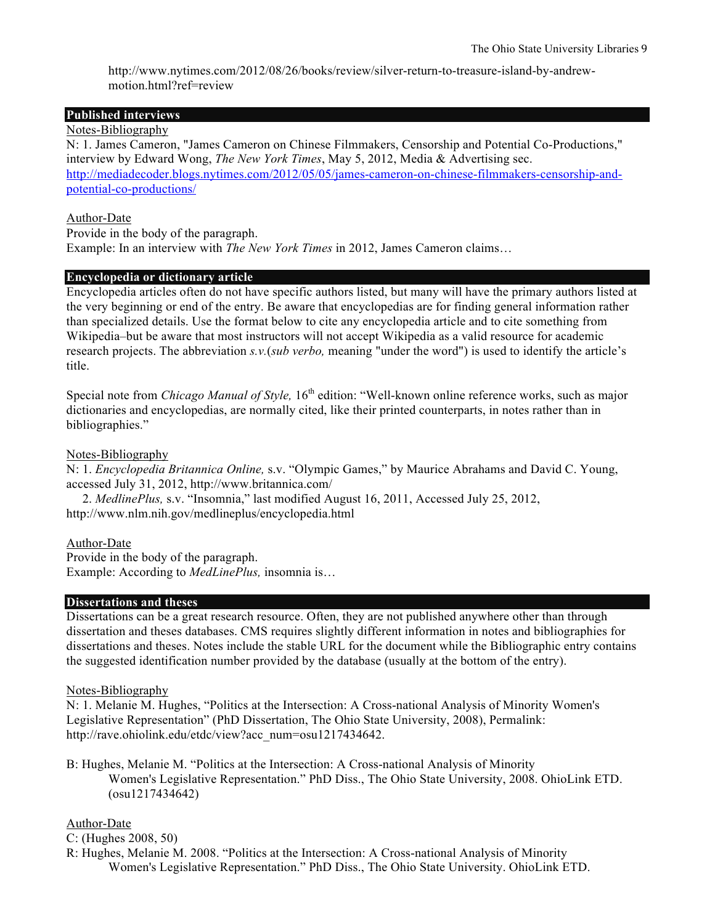http://www.nytimes.com/2012/08/26/books/review/silver-return-to-treasure-island-by-andrewmotion.html?ref=review

# **Published interviews**

Notes-Bibliography

N: 1. James Cameron, "James Cameron on Chinese Filmmakers, Censorship and Potential Co-Productions," interview by Edward Wong, *The New York Times*, May 5, 2012, Media & Advertising sec. http://mediadecoder.blogs.nytimes.com/2012/05/05/james-cameron-on-chinese-filmmakers-censorship-andpotential-co-productions/

#### Author-Date

Provide in the body of the paragraph. Example: In an interview with *The New York Times* in 2012, James Cameron claims…

#### **Encyclopedia or dictionary article**

Encyclopedia articles often do not have specific authors listed, but many will have the primary authors listed at the very beginning or end of the entry. Be aware that encyclopedias are for finding general information rather than specialized details. Use the format below to cite any encyclopedia article and to cite something from Wikipedia–but be aware that most instructors will not accept Wikipedia as a valid resource for academic research projects. The abbreviation *s.v.*(*sub verbo,* meaning "under the word") is used to identify the article's title.

Special note from *Chicago Manual of Style*, 16<sup>th</sup> edition: "Well-known online reference works, such as major dictionaries and encyclopedias, are normally cited, like their printed counterparts, in notes rather than in bibliographies."

#### Notes-Bibliography

N: 1. *Encyclopedia Britannica Online,* s.v. "Olympic Games," by Maurice Abrahams and David C. Young, accessed July 31, 2012, http://www.britannica.com/

 2. *MedlinePlus,* s.v. "Insomnia," last modified August 16, 2011, Accessed July 25, 2012, http://www.nlm.nih.gov/medlineplus/encyclopedia.html

#### Author-Date

Provide in the body of the paragraph. Example: According to *MedLinePlus,* insomnia is…

#### **Dissertations and theses**

Dissertations can be a great research resource. Often, they are not published anywhere other than through dissertation and theses databases. CMS requires slightly different information in notes and bibliographies for dissertations and theses. Notes include the stable URL for the document while the Bibliographic entry contains the suggested identification number provided by the database (usually at the bottom of the entry).

#### Notes-Bibliography

N: 1. Melanie M. Hughes, "Politics at the Intersection: A Cross-national Analysis of Minority Women's Legislative Representation" (PhD Dissertation, The Ohio State University, 2008), Permalink: http://rave.ohiolink.edu/etdc/view?acc\_num=osu1217434642.

B: Hughes, Melanie M. "Politics at the Intersection: A Cross-national Analysis of Minority Women's Legislative Representation." PhD Diss., The Ohio State University, 2008. OhioLink ETD. (osu1217434642)

#### Author-Date

C: (Hughes 2008, 50)

R: Hughes, Melanie M. 2008. "Politics at the Intersection: A Cross-national Analysis of Minority Women's Legislative Representation." PhD Diss., The Ohio State University. OhioLink ETD.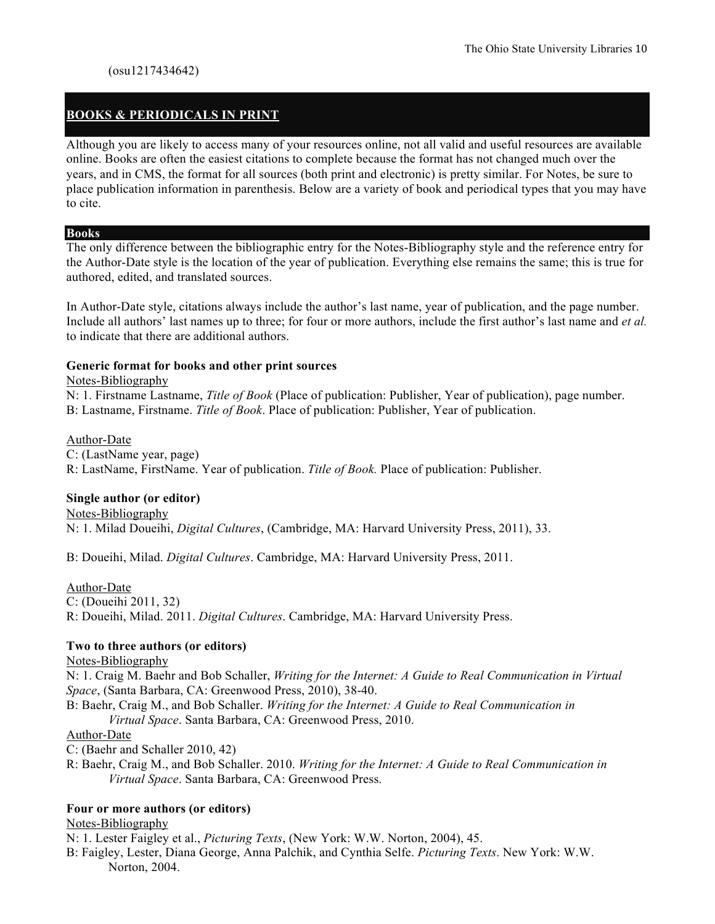# **BOOKS & PERIODICALS IN PRINT**

Although you are likely to access many of your resources online, not all valid and useful resources are available online. Books are often the easiest citations to complete because the format has not changed much over the years, and in CMS, the format for all sources (both print and electronic) is pretty similar. For Notes, be sure to place publication information in parenthesis. Below are a variety of book and periodical types that you may have to cite.

#### **Books**

The only difference between the bibliographic entry for the Notes-Bibliography style and the reference entry for the Author-Date style is the location of the year of publication. Everything else remains the same; this is true for authored, edited, and translated sources.

In Author-Date style, citations always include the author's last name, year of publication, and the page number. Include all authors' last names up to three; for four or more authors, include the first author's last name and *et al.* to indicate that there are additional authors.

#### **Generic format for books and other print sources**

#### Notes-Bibliography

N: 1. Firstname Lastname, *Title of Book* (Place of publication: Publisher, Year of publication), page number. B: Lastname, Firstname. *Title of Book*. Place of publication: Publisher, Year of publication.

#### Author-Date

C: (LastName year, page)

R: LastName, FirstName. Year of publication. *Title of Book.* Place of publication: Publisher.

#### **Single author (or editor)**

Notes-Bibliography

N: 1. Milad Doueihi, *Digital Cultures*, (Cambridge, MA: Harvard University Press, 2011), 33.

B: Doueihi, Milad. *Digital Cultures*. Cambridge, MA: Harvard University Press, 2011.

#### Author-Date

C: (Doueihi 2011, 32)

R: Doueihi, Milad. 2011. *Digital Cultures*. Cambridge, MA: Harvard University Press.

#### **Two to three authors (or editors)**

Notes-Bibliography

N: 1. Craig M. Baehr and Bob Schaller, *Writing for the Internet: A Guide to Real Communication in Virtual Space*, (Santa Barbara, CA: Greenwood Press, 2010), 38-40.

B: Baehr, Craig M., and Bob Schaller. *Writing for the Internet: A Guide to Real Communication in Virtual Space*. Santa Barbara, CA: Greenwood Press, 2010.

#### Author-Date

C: (Baehr and Schaller 2010, 42)

R: Baehr, Craig M., and Bob Schaller. 2010. *Writing for the Internet: A Guide to Real Communication in Virtual Space*. Santa Barbara, CA: Greenwood Press.

#### **Four or more authors (or editors)**

#### Notes-Bibliography

N: 1. Lester Faigley et al., *Picturing Texts*, (New York: W.W. Norton, 2004), 45.

B: Faigley, Lester, Diana George, Anna Palchik, and Cynthia Selfe. *Picturing Texts*. New York: W.W. Norton, 2004.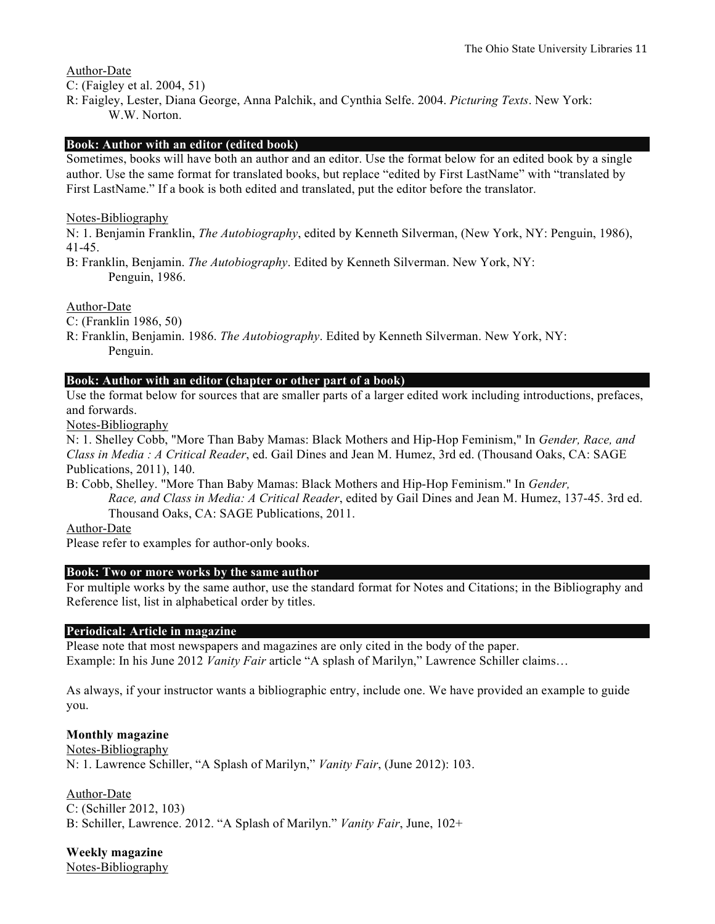Author-Date

C: (Faigley et al. 2004, 51)

R: Faigley, Lester, Diana George, Anna Palchik, and Cynthia Selfe. 2004. *Picturing Texts*. New York: W.W. Norton.

# **Book: Author with an editor (edited book)**

Sometimes, books will have both an author and an editor. Use the format below for an edited book by a single author. Use the same format for translated books, but replace "edited by First LastName" with "translated by First LastName." If a book is both edited and translated, put the editor before the translator.

Notes-Bibliography

N: 1. Benjamin Franklin, *The Autobiography*, edited by Kenneth Silverman, (New York, NY: Penguin, 1986), 41-45.

B: Franklin, Benjamin. *The Autobiography*. Edited by Kenneth Silverman. New York, NY: Penguin, 1986.

Author-Date

C: (Franklin 1986, 50)

R: Franklin, Benjamin. 1986. *The Autobiography*. Edited by Kenneth Silverman. New York, NY: Penguin.

# **Book: Author with an editor (chapter or other part of a book)**

Use the format below for sources that are smaller parts of a larger edited work including introductions, prefaces, and forwards.

Notes-Bibliography

N: 1. Shelley Cobb, "More Than Baby Mamas: Black Mothers and Hip-Hop Feminism," In *Gender, Race, and Class in Media : A Critical Reader*, ed. Gail Dines and Jean M. Humez, 3rd ed. (Thousand Oaks, CA: SAGE Publications, 2011), 140.

B: Cobb, Shelley. "More Than Baby Mamas: Black Mothers and Hip-Hop Feminism." In *Gender,* 

*Race, and Class in Media: A Critical Reader*, edited by Gail Dines and Jean M. Humez, 137-45. 3rd ed. Thousand Oaks, CA: SAGE Publications, 2011.

Author-Date

Please refer to examples for author-only books.

# **Book: Two or more works by the same author**

For multiple works by the same author, use the standard format for Notes and Citations; in the Bibliography and Reference list, list in alphabetical order by titles.

# **Periodical: Article in magazine**

Please note that most newspapers and magazines are only cited in the body of the paper.

Example: In his June 2012 *Vanity Fair* article "A splash of Marilyn," Lawrence Schiller claims…

As always, if your instructor wants a bibliographic entry, include one. We have provided an example to guide you.

# **Monthly magazine**

Notes-Bibliography N: 1. Lawrence Schiller, "A Splash of Marilyn," *Vanity Fair*, (June 2012): 103.

Author-Date C: (Schiller 2012, 103) B: Schiller, Lawrence. 2012. "A Splash of Marilyn." *Vanity Fair*, June, 102+

**Weekly magazine** Notes-Bibliography